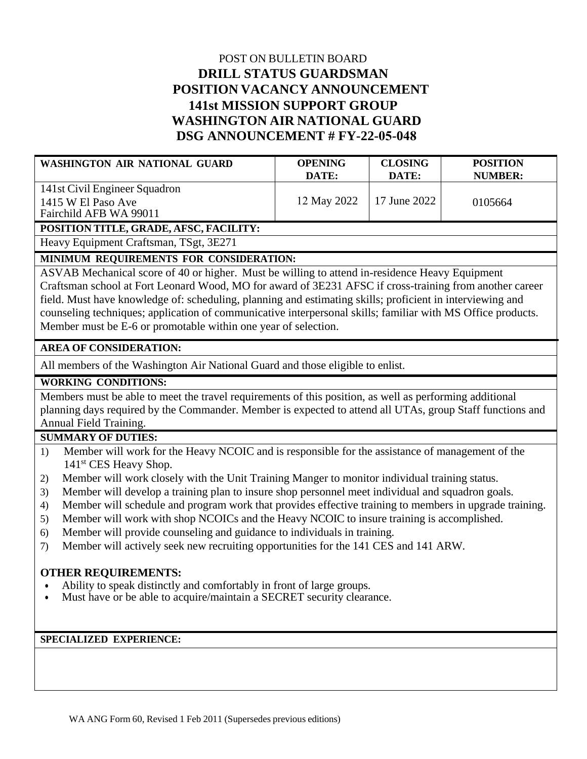# POST ON BULLETIN BOARD **DRILL STATUS GUARDSMAN POSITION VACANCY ANNOUNCEMENT 141st MISSION SUPPORT GROUP WASHINGTON AIR NATIONAL GUARD DSG ANNOUNCEMENT # FY-22-05-048**

| WASHINGTON AIR NATIONAL GUARD                                                 | <b>OPENING</b> | <b>CLOSING</b> | <b>POSITION</b> |
|-------------------------------------------------------------------------------|----------------|----------------|-----------------|
|                                                                               | DATE:          | DATE:          | NUMBER:         |
| 141st Civil Engineer Squadron<br>1415 W El Paso Ave<br>Fairchild AFB WA 99011 | 12 May 2022    | - 17 June 2022 | 0105664         |

## **POSITION TITLE, GRADE, AFSC, FACILITY:**

Heavy Equipment Craftsman, TSgt, 3E271

## **MINIMUM REQUIREMENTS FOR CONSIDERATION:**

ASVAB Mechanical score of 40 or higher. Must be willing to attend in-residence Heavy Equipment Craftsman school at Fort Leonard Wood, MO for award of 3E231 AFSC if cross-training from another career field. Must have knowledge of: scheduling, planning and estimating skills; proficient in interviewing and counseling techniques; application of communicative interpersonal skills; familiar with MS Office products. Member must be E-6 or promotable within one year of selection.

## **AREA OF CONSIDERATION:**

All members of the Washington Air National Guard and those eligible to enlist.

## **WORKING CONDITIONS:**

Members must be able to meet the travel requirements of this position, as well as performing additional planning days required by the Commander. Member is expected to attend all UTAs, group Staff functions and Annual Field Training.

#### **SUMMARY OF DUTIES:**

- 1) Member will work for the Heavy NCOIC and is responsible for the assistance of management of the 141<sup>st</sup> CES Heavy Shop.
- 2) Member will work closely with the Unit Training Manger to monitor individual training status.
- 3) Member will develop a training plan to insure shop personnel meet individual and squadron goals.
- 4) Member will schedule and program work that provides effective training to members in upgrade training.
- 5) Member will work with shop NCOICs and the Heavy NCOIC to insure training is accomplished.
- 6) Member will provide counseling and guidance to individuals in training.
- 7) Member will actively seek new recruiting opportunities for the 141 CES and 141 ARW.

#### **OTHER REQUIREMENTS:**

- Ability to speak distinctly and comfortably in front of large groups.
- Must have or be able to acquire/maintain a SECRET security clearance.

#### **SPECIALIZED EXPERIENCE:**